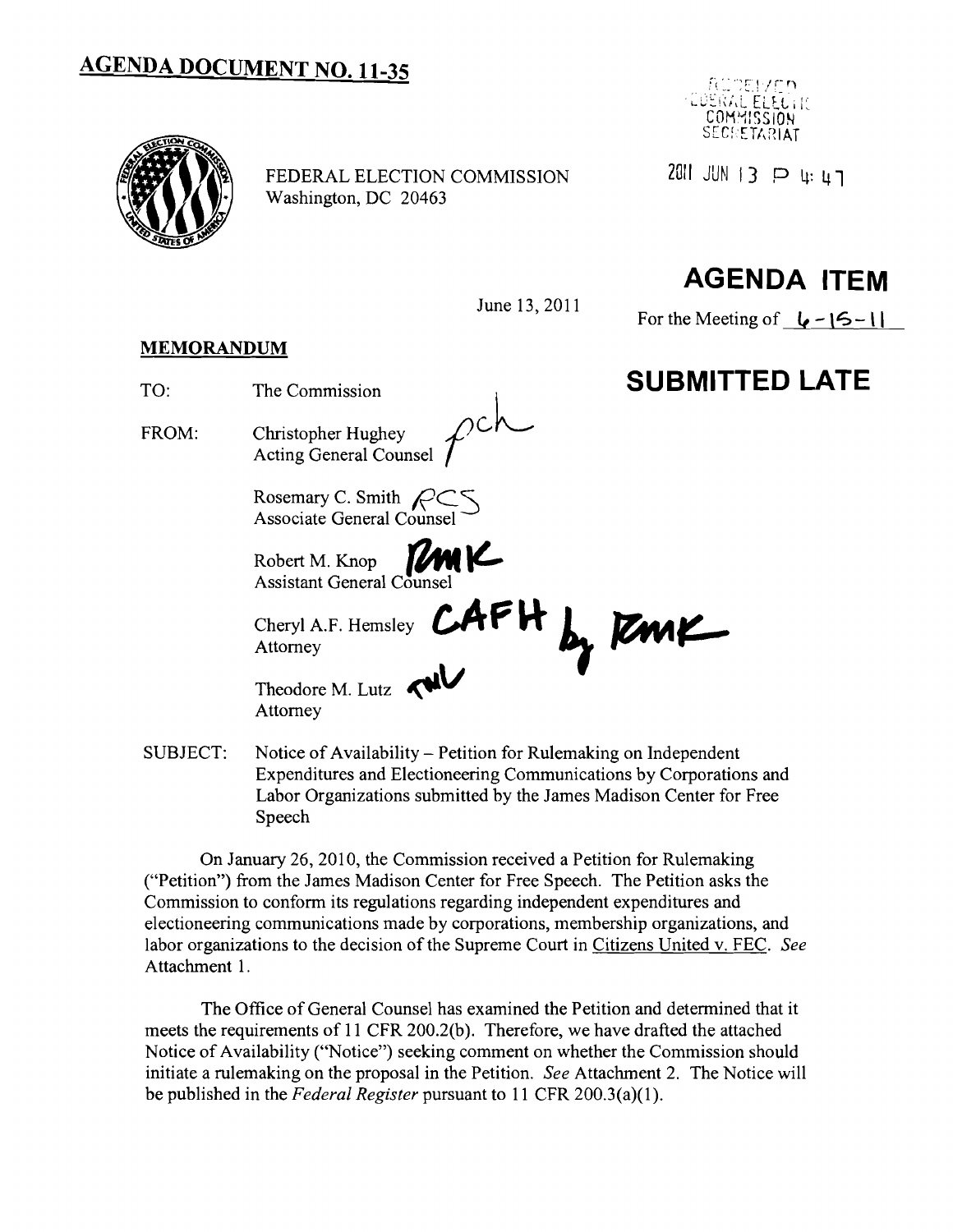## **AGENDA DOCUMENT NO. 11-35**



FEDERAL ELECTION COMMISSION 2011 JUN 13 P 4: 47 Washington, DC 20463



# **AGENDA ITEM**

June 13,2011

For the Meeting of  $\left| \right|$  –  $\left| \right|$  –  $\left| \right|$ 

#### **MEMORANDUM**

- TO: The Commission **SUBMITTED LATE**
- FROM: Christopher Hughey Acting General Counsel

Rosemary C. Smith *pC*S Associate General Counsel Ì

Robert M. Knop Assistant General Counsel

Cheryl A.F. Hemsley **CAPH by FMK** 

Theodore M. Lutz **WU** 

SUBJECT: Notice of Availability – Petition for Rulemaking on Independent Expenditures and Electioneering Communications by Corporations and Labor Organizations submitted by the James Madison Center for Free Speech

On January 26, 2010, the Commission received a Petition for Rulemaking ("Petition") from the James Madison Center for Free Speech. The Petition asks the Commission to conform its regulations regarding independent expenditures and electioneering communications made by corporations, membership organizations, and labor organizations to the decision of the Supreme Court in Citizens United v. FEC. See Attachment 1.

The Office of General Counsel has examined the Petition and determined that it meets the requirements of 11 CFR 200.2(b). Therefore, we have drafted the attached Notice of Availability ("Notice") seeking comment on whether the Commission should initiate a rulemaking on the proposal in the Petition. *See* Attachment 2. The Notice will be published in the *Federal Register* pursuant to 11 CFR 200.3(a)(l).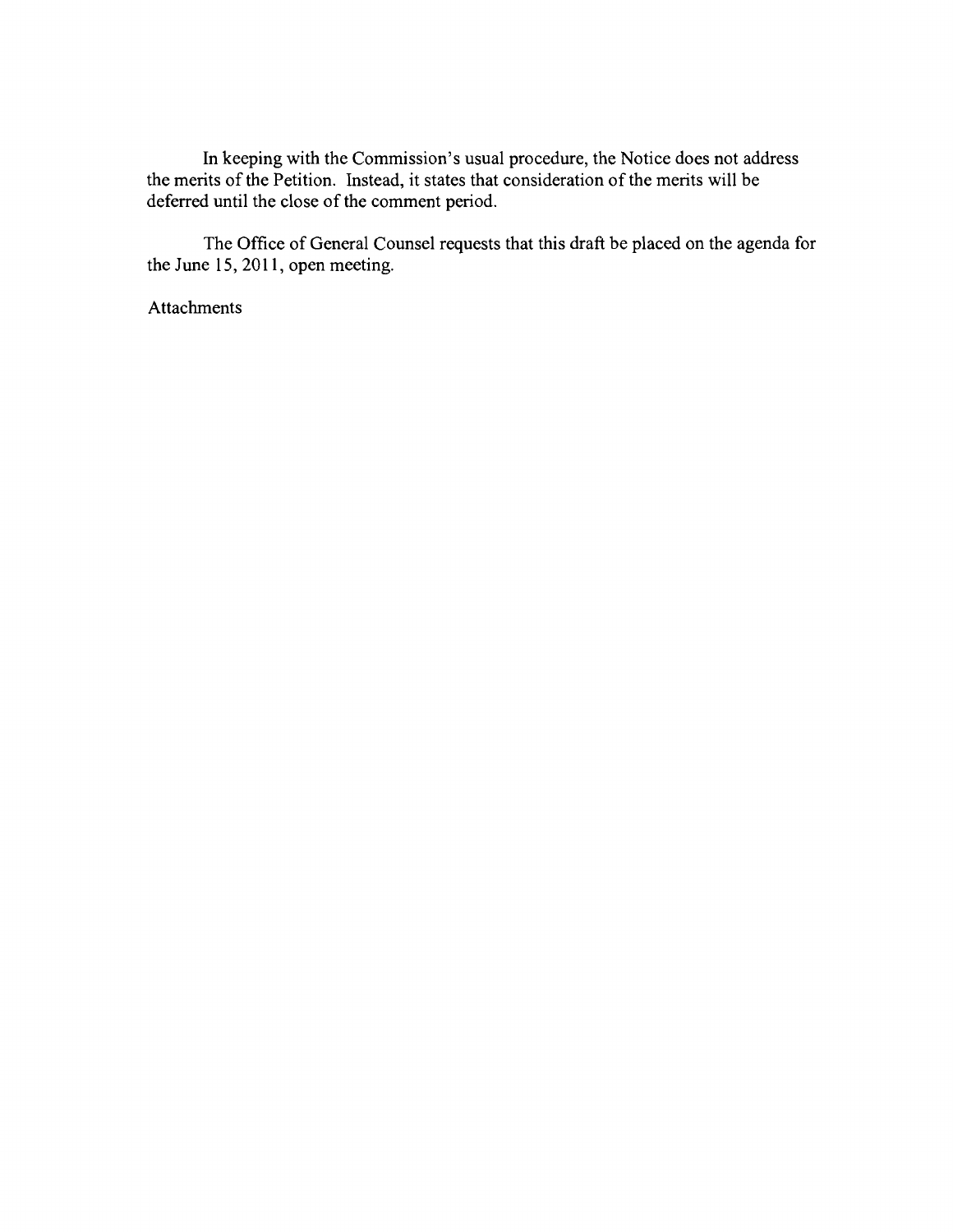In keeping with the Commission's usual procedure, the Notice does not address the merits of the Petition. Instead, it states that consideration of the merits will be deferred until the close of the comment period.

The Office of General Counsel requests that this draft be placed on the agenda for the June 15,2011, open meeting.

Attachments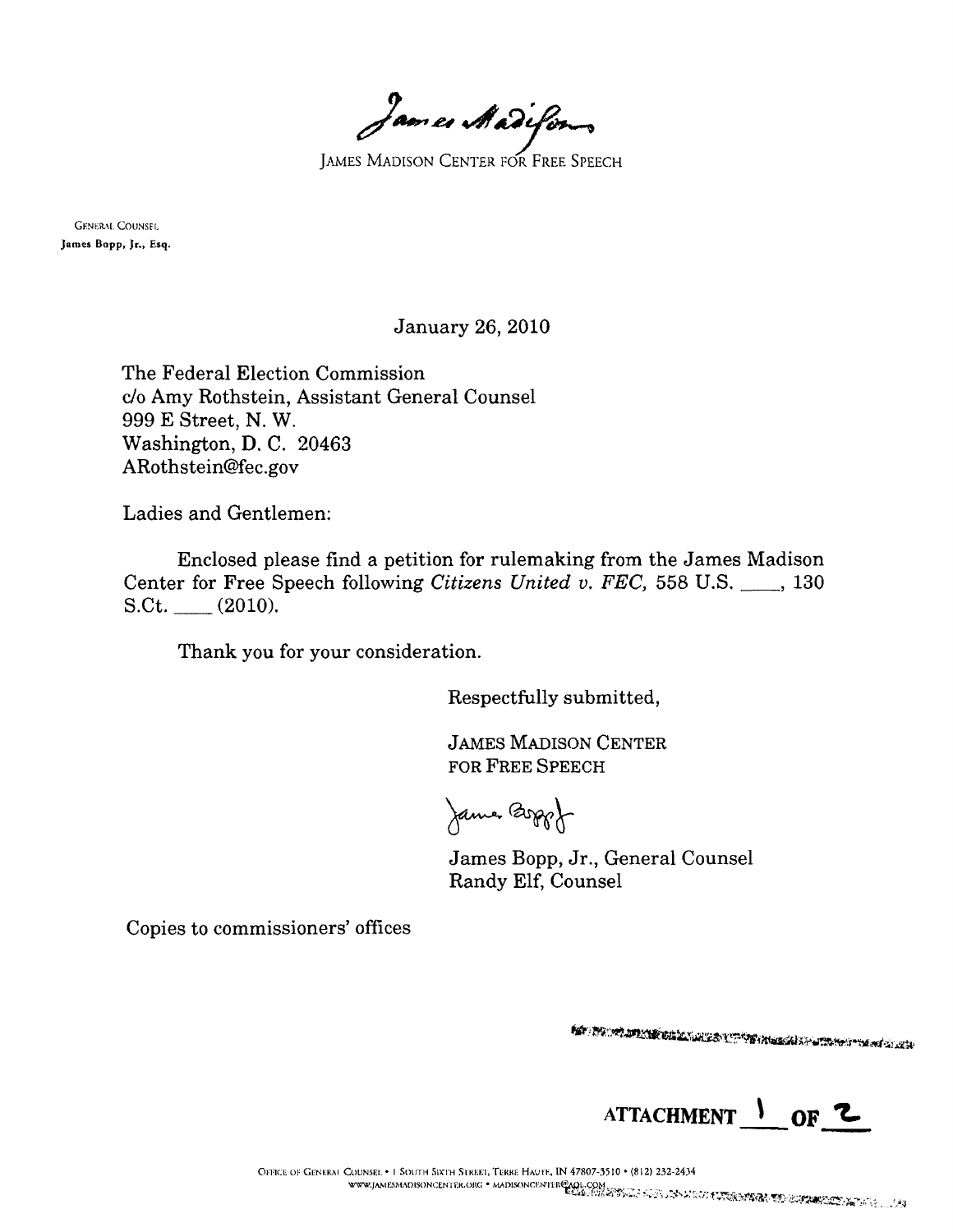*James Madefor* 

**GENERAL COUNSEL** Jomes Bopp, Jr., Esq.

January 26, 2010

The Federal Election Commission c/o Amy Rothstein, Assistant General Counsel 999 E Street, N. W. Washington, D. C. 20463 ARothstein@fec.gov

Ladies and Gentlemen:

Enclosed please find a petition for rulemaking from the James Madison Center for Free Speech following *Citizens United v. FEC,* 558 U.S. \_\_, 130  $S.Ct.$  (2010).

Thank you for your consideration.

Respectfully submitted,

JAMES MADISON CENTER FOR FREE SPEECH

James Boppof

James Bopp, Jr., General Counsel Randy Elf, Counsel

Copies to commissioners' offices

**AN THE WALKER BALL WALKS IN THE AN ARRANGEMENT WANTED AND ARRANGEMENT OF THE ARRANGEMENT OF THE ARRANGEMENT OF** 



OFFICE OF GENERAL COUNSEL. . I SOUTH SIXTH STREET, TERRE HAUTE, IN 47807-3510 . (812) 232-2434 www.jAMESMADISONCENTER.ORG + MADISONCENTER@AQL.COM<br>EUAS: STAR STAR DE EN ALA DE DE DE DE TORRES TELEUTER MESSING - 143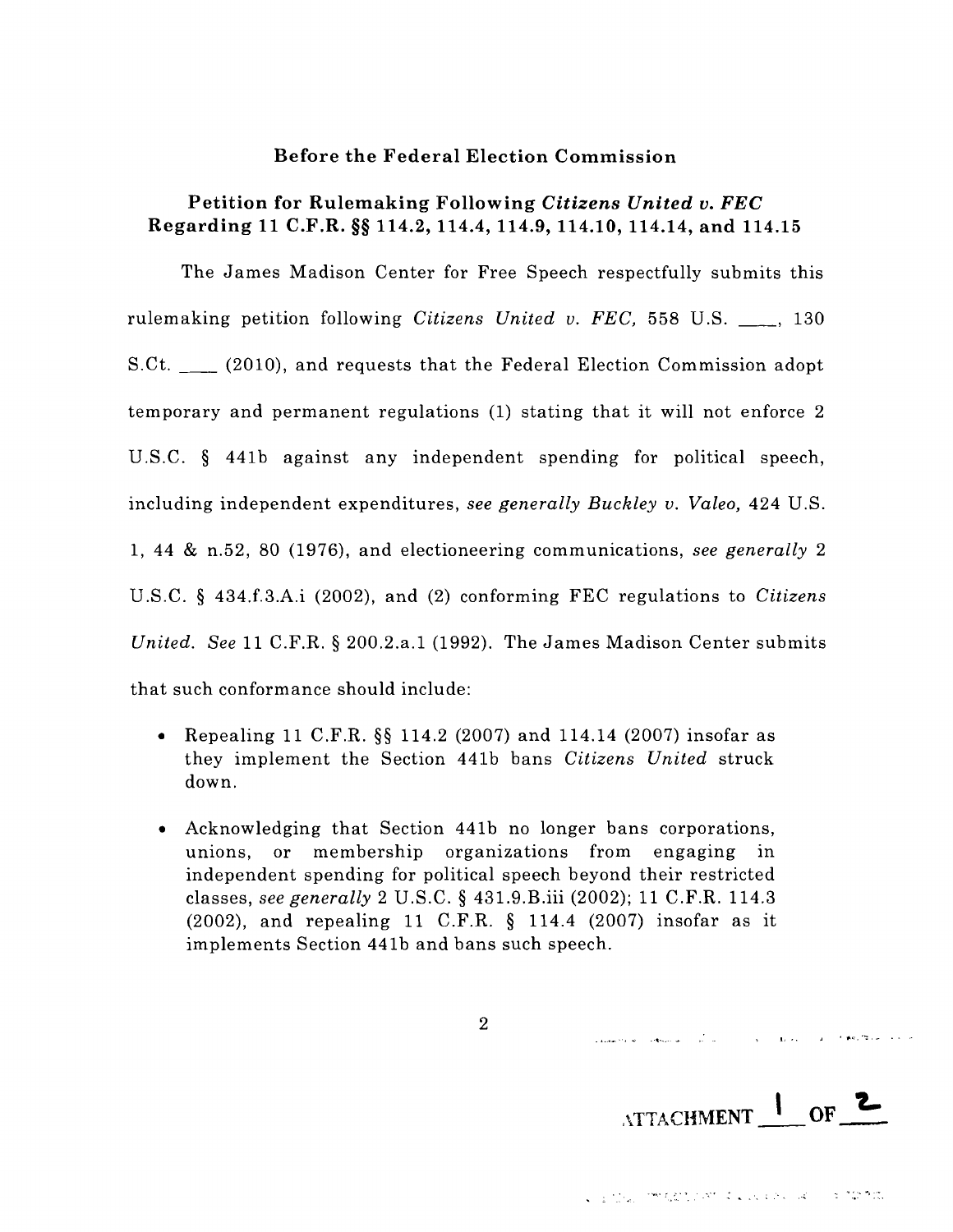#### Before the Federal Election Commission

#### Petition for Rulemaking Following *Citizens United v. FEC* Regarding 11 C.F.R. §§ 114.2, 114.4, 114.9, 114.10, 114.14, and 114.15

The James Madison Center for Free Speech respectfully submits this rulemaking petition following *Citizens United v. FEC*, 558 U.S. <sub>\_\_\_</sub>, 130 S.Ct. \_\_ (2010), and requests that the Federal Election Commission adopt temporary and permanent regulations (1) stating that it will not enforce 2 U.S.C. § 441b against any independent spending for political speech, including independent expenditures, *see generally Buckley v. Valeo,* 424 U.S. 1, 44 & n.52, 80 (1976), and electioneering communications, *see generally* 2 U .S.C. § 434.f.3.A.i (2002), and (2) conforming FEC regulations to *Citizens United. See* 11 C.F.R. § 200.2.a.1 (1992). The James Madison Center submits that such conformance should include:

- Repealing 11 C.F.R.  $\S$  114.2 (2007) and 114.14 (2007) insofar as they implement the Section 441b bans *Citizens United* struck down.
- Acknowledging that Section 441b no longer bans corporations, unions, or membership organizations from engaging in independent spending for political speech beyond their restricted classes, *see generally* 2 U.S.C. § 431.9.B.iii (2002); 11 C.F.R. 114.3 (2002), and repealing 11 C.F.R. § 114.4 (2007) insofar as it implements Section 441b and bans such speech.

2

.\TTACHMENT\_'\_OF **'L** 

.<br>Salatin San Salatin Salatin Salatin Salatin Salatin Salatin Salatin Salatin Salatin Salatin Salatin Salatin Sa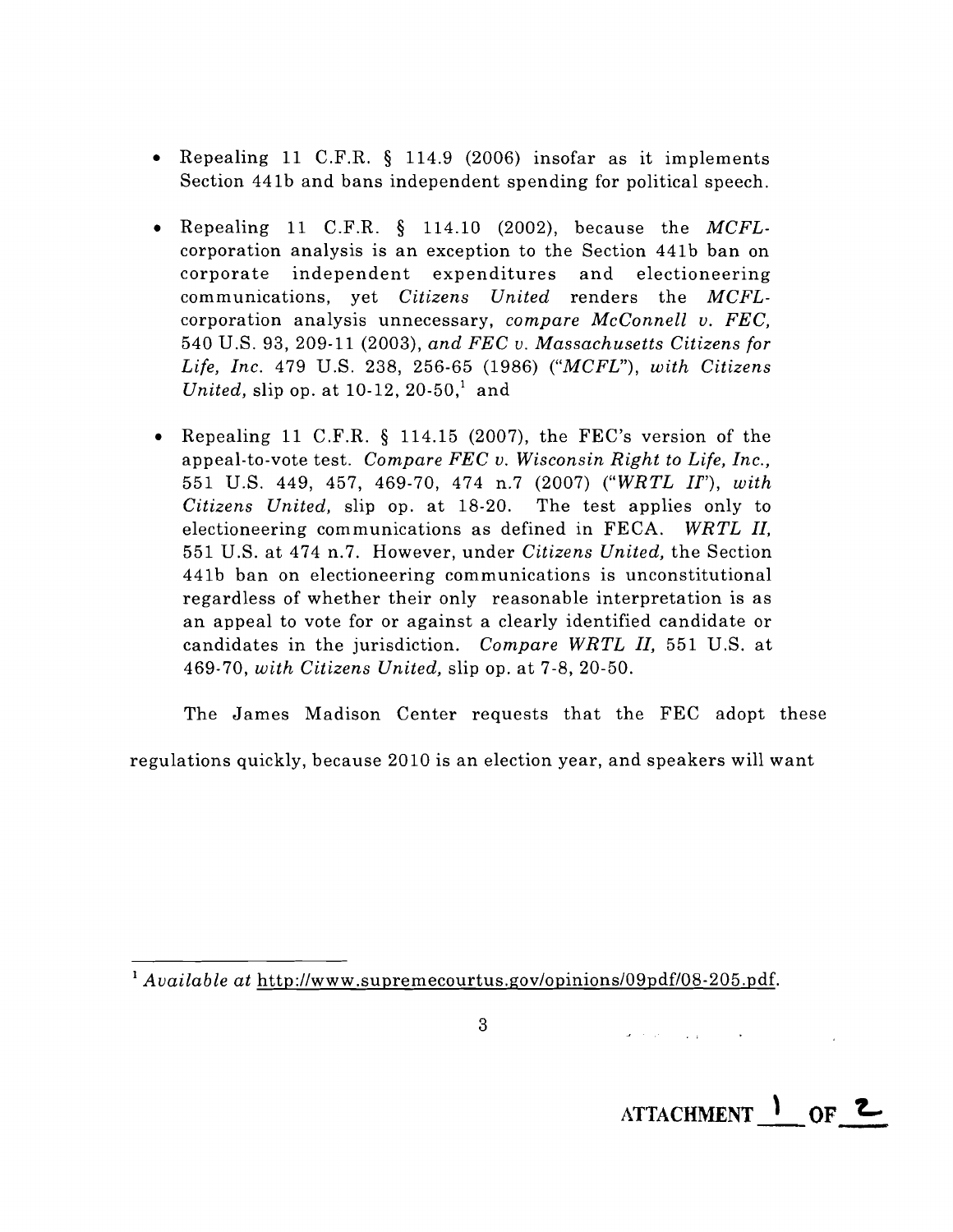- • Repealing 11 C.F.R. § 114.9 (2006) insofar as it implements Section 441b and bans independent spending for political speech.
- • Repealing 11 C.F.R. § 114.10 (2002), because the *MCFL* corporation analysis is an exception to the Section 441b ban on corpora te independent expenditures and electioneering communications, yet *Citizens United* renders the *MCFL* corporation analysis unnecessary, *compare McConnell v. FEC,* 540 U.S. 93, 209-11 (2003), *and FEC v. Massachusetts Citizens for* Life, Inc. 479 U.S. 238, 256-65 (1986) ("MCFL"), with Citizens *United, slip op. at 10-12, 20-50,<sup>1</sup> and*
- • Repealing 11 C.F.R. § 114.15 (2007), the FEC's version of the appeal-to-vote test. *Compare FEC v. Wisconsin Right to Life, Inc.,* 551 U.S. 449, 457, 469-70, 474 n.7 (2007) *("WRTL If')*, *with Citizens United,* slip op. at 18-20. The test applies only to electioneering communications as defined in FECA. *WRTL II,* 551 U.S. at 474 n.7. However, under *Citizens United,* the Section 441b ban on electioneering communications is unconstitutional regardless of whether their only reasonable interpretation is as an appeal to vote for or against a clearly identified candidate or candidates in the jurisdiction. *Compare WRTL II,* 551 U.S. at *469·70, with Citizens United,* slip op. at 7-8, 20-50.

The James Madison Center requests that the FEC adopt these

regulations quickly, because 2010 is an election year, and speakers will want

<sup>1</sup> Available at http://www.supremecourtus.gov/opinions/09pdf/08-205.pdf.

 $\mathbf{a}^{\dagger} \left( \mathbf{a}^{\dagger} \left( \mathbf{a}^{\dagger} \right) \right) = \mathbf{a}^{\dagger} \left( \mathbf{a}^{\dagger} \left( \mathbf{a}^{\dagger} \right) \right) = \mathbf{0}$ 

**ATTACHMENT OF 2**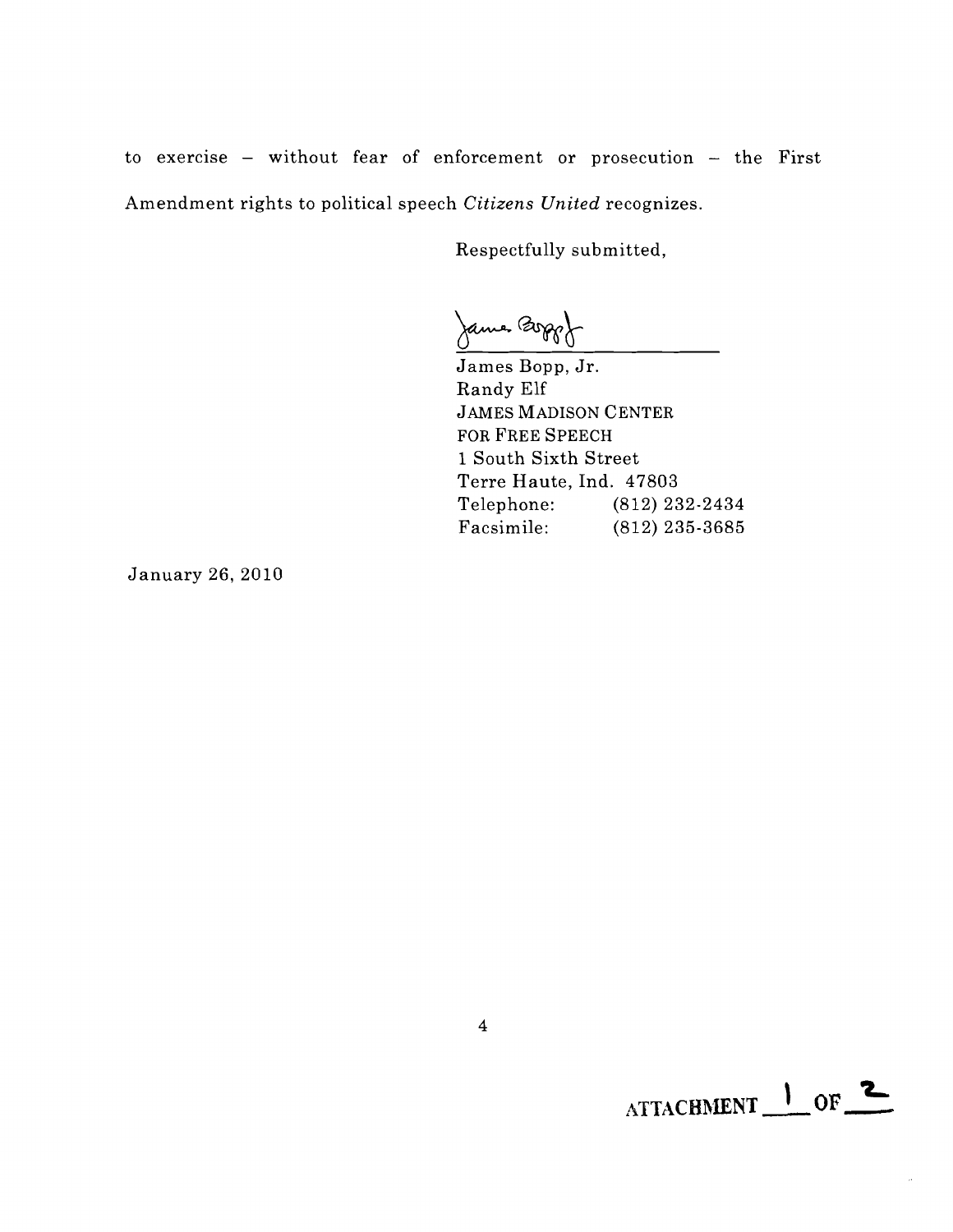to exercise - without fear of enforcement or prosecution - the First Amendment rights to political speech *Citizens United* recognizes.

Respectfully submitted,

Jame Boggot

James Bopp, Jr. Randy Elf JAMES MADISON CENTER FOR FREE SPEECH 1 South Sixth Street Terre Haute, Ind. 47803 Telephone: (812) 232-2434 Facsimile: (812) 235-3685

January 26,2010

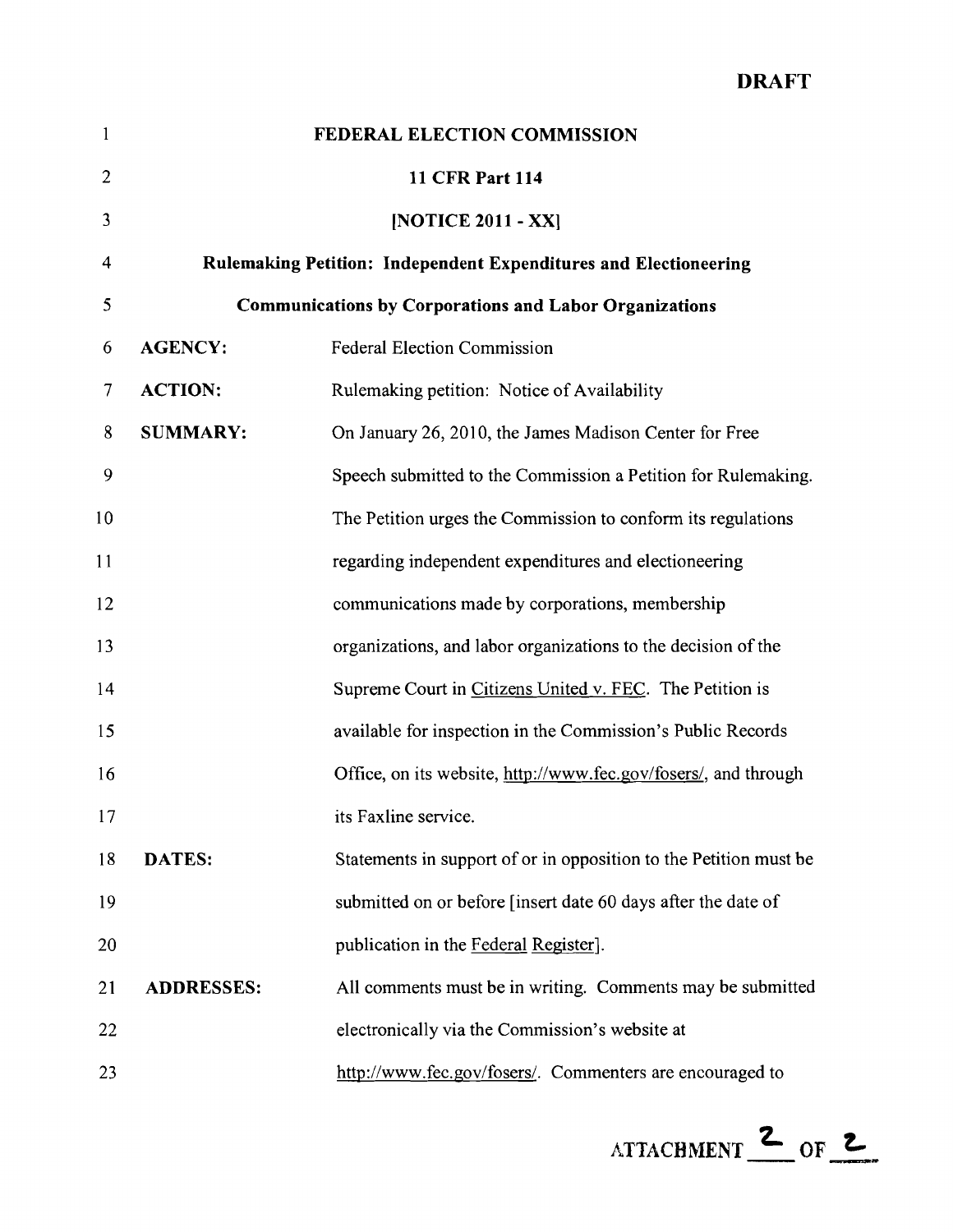### DRAFT

| $\mathbf{1}$   |                                                               | FEDERAL ELECTION COMMISSION                                             |  |
|----------------|---------------------------------------------------------------|-------------------------------------------------------------------------|--|
| $\overline{2}$ |                                                               | <b>11 CFR Part 114</b>                                                  |  |
| 3              |                                                               | [NOTICE 2011 - XX]                                                      |  |
| 4              |                                                               | <b>Rulemaking Petition: Independent Expenditures and Electioneering</b> |  |
| 5              | <b>Communications by Corporations and Labor Organizations</b> |                                                                         |  |
| 6              | <b>AGENCY:</b>                                                | <b>Federal Election Commission</b>                                      |  |
| 7              | <b>ACTION:</b>                                                | Rulemaking petition: Notice of Availability                             |  |
| 8              | <b>SUMMARY:</b>                                               | On January 26, 2010, the James Madison Center for Free                  |  |
| 9              |                                                               | Speech submitted to the Commission a Petition for Rulemaking.           |  |
| 10             |                                                               | The Petition urges the Commission to conform its regulations            |  |
| 11             |                                                               | regarding independent expenditures and electioneering                   |  |
| 12             |                                                               | communications made by corporations, membership                         |  |
| 13             |                                                               | organizations, and labor organizations to the decision of the           |  |
| 14             |                                                               | Supreme Court in Citizens United v. FEC. The Petition is                |  |
| 15             |                                                               | available for inspection in the Commission's Public Records             |  |
| 16             |                                                               | Office, on its website, http://www.fec.gov/fosers/, and through         |  |
| 17             |                                                               | its Faxline service.                                                    |  |
| 18             | DATES:                                                        | Statements in support of or in opposition to the Petition must be       |  |
| 19             |                                                               | submitted on or before [insert date 60 days after the date of           |  |
| 20             |                                                               | publication in the Federal Register].                                   |  |
| 21             | <b>ADDRESSES:</b>                                             | All comments must be in writing. Comments may be submitted              |  |
| 22             |                                                               | electronically via the Commission's website at                          |  |
| 23             |                                                               | http://www.fec.gov/fosers/. Commenters are encouraged to                |  |

 $\text{ATTACHMENT}$  of  $\text{Z}$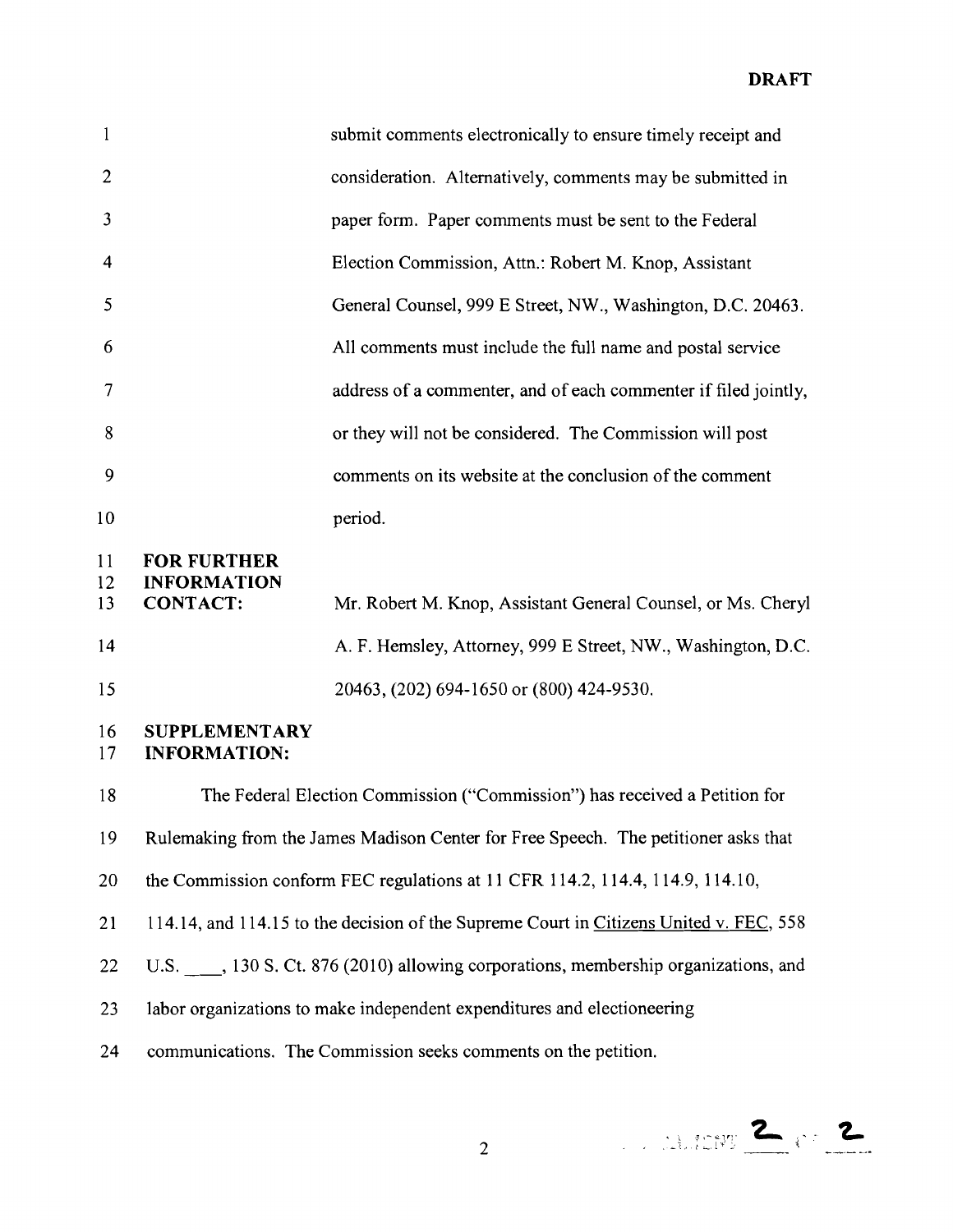**DRAFT** 

| $\mathbf{1}$   | submit comments electronically to ensure timely receipt and     |
|----------------|-----------------------------------------------------------------|
| $\overline{2}$ | consideration. Alternatively, comments may be submitted in      |
| $\overline{3}$ | paper form. Paper comments must be sent to the Federal          |
| $\overline{4}$ | Election Commission, Attn.: Robert M. Knop, Assistant           |
| -5             | General Counsel, 999 E Street, NW., Washington, D.C. 20463.     |
| 6              | All comments must include the full name and postal service      |
| $\overline{7}$ | address of a commenter, and of each commenter if filed jointly, |
| 8              | or they will not be considered. The Commission will post        |
| 9              | comments on its website at the conclusion of the comment        |
| 10             | period.                                                         |

#### 11 FOR FURTHER 12 **INFORMATION**

| 13 | <b>CONTACT:</b> | Mr. Robert M. Knop, Assistant General Counsel, or Ms. Cheryl |
|----|-----------------|--------------------------------------------------------------|
| 14 |                 | A. F. Hemsley, Attorney, 999 E Street, NW., Washington, D.C. |
| 15 |                 | 20463, (202) 694-1650 or (800) 424-9530.                     |

#### 16 **SUPPLEMENTARY**  17 **INFORMATION:**

18 The Federal Election Commission ("Commission") has received a Petition for 19 Rulemaking from the James Madison Center for Free Speech. The petitioner asks that 20 the Commission conform FEC regulations at 11 CFR 114.2, 114.4, 114.9, 114.10, 21 114.14, and 114.15 to the decision of the Supreme Court in Citizens United v. FEC, 558 22 U.S. , 130 S. Ct. 876 (2010) allowing corporations, membership organizations, and 23 labor organizations to make independent expenditures and electioneering 24 communications. The Commission seeks comments on the petition.



2